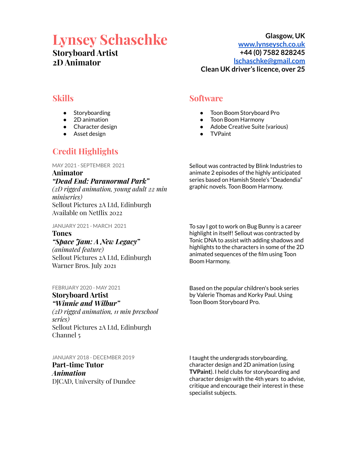# **Lynsey Schaschke**

# **Storyboard Artist 2D Animator**

**Glasgow, UK [www.lynseysch.co.uk](http://www.lynseysch.co.uk) +44 (0) 7582 828245 [lschaschke@gmail.com](mailto:lschaschke@gmail.com) Clean UK driver's licence, over 25**

# **Skills**

- Storyboarding
- 2D animation
- Character design
- Asset design

# **Credit Highlights**

MAY 2021 - SEPTEMBER 2021

**Animator** *"Dead End: Paranormal Park" (2D rigged animation, young adult 22 min miniseries)* Sellout Pictures 2A Ltd, Edinburgh Available on Netflix 2022

JANUARY 2021 - MARCH 2021

# **Tones** *"Space Jam: A New Legacy"*

*(animated feature)* Sellout Pictures 2A Ltd, Edinburgh Warner Bros. July 2021

FEBRUARY 2020 - MAY 2021

# **Storyboard Artist** *"Winnie and Wilbur"*

*(2D rigged animation, 11 min preschool series)* Sellout Pictures 2A Ltd, Edinburgh Channel 5

JANUARY 2018 - DECEMBER 2019 **Part-time Tutor** *Animation* DJCAD, University of Dundee

# **Software**

- Toon Boom Storyboard Pro
- **Toon Boom Harmony**
- Adobe Creative Suite (various)
- TVPaint

Sellout was contracted by Blink Industries to animate 2 episodes of the highly anticipated series based on Hamish Steele's "Deadendia" graphic novels. Toon Boom Harmony.

To say I got to work on Bug Bunny is a career highlight in itself! Sellout was contracted by Tonic DNA to assist with adding shadows and highlights to the characters in some of the 2D animated sequences of the film using Toon Boom Harmony.

Based on the popular children's book series by Valerie Thomas and Korky Paul. Using Toon Boom Storyboard Pro.

I taught the undergrads storyboarding, character design and 2D animation (using **TVPaint**). I held clubs for storyboarding and character design with the 4th years to advise, critique and encourage their interest in these specialist subjects.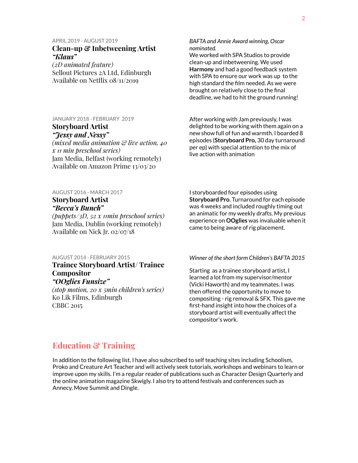### APRIL 2019 - AUGUST 2019

# **Clean-up & Inbetweening Artist** *"Klaus"*

*(2D animated feature)* Sellout Pictures 2A Ltd, Edinburgh Available on Netflix 08/11/2019

# JANUARY 2018 - FEBRUARY 2019 **Storyboard Artist**

*"Jessy and Nessy"*

*(mixed media animation & live action, 40 x 11 min preschool series)* Jam Media, Belfast (working remotely) Available on Amazon Prime 13/03/20

### *BAFTA and Annie Award winning, Oscar nominated.*

We worked with SPA Studios to provide clean-up and inbetweening. We used **Harmony** and had a good feedback system with SPA to ensure our work was up to the high standard the film needed. As we were brought on relatively close to the final deadline, we had to hit the ground running!

After working with Jam previously, I was delighted to be working with them again on a new show full of fun and warmth. I boarded 8 episodes (**Storyboard Pro,** 30 day turnaround per ep) with special attention to the mix of live action with animation

AUGUST 2016 - MARCH 2017 **Storyboard Artist**

# *"Becca's Bunch"*

*(puppets/3D, 52 x 11min preschool series)* Jam Media, Dublin (working remotely) Available on Nick Jr. 02/07/18

### AUGUST 2014 - FEBRUARY 2015

**Trainee Storyboard Artist/ Trainee Compositor** *"OOglies Funsize"*

*(stop motion, 20 x 5min children's series)* Ko Lik Films, Edinburgh CBBC 2015

I storyboarded four episodes using **Storyboard Pro**. Turnaround for each episode was 4 weeks and included roughly timing out an animatic for my weekly drafts. My previous experience on **OOglies** was invaluable when it came to being aware of rig placement.

### *Winner of the short form Children's BAFTA 2015*

Starting as a trainee storyboard artist, I learned a lot from my supervisor/mentor (Vicki Haworth) and my teammates. I was then offered the opportunity to move to compositing - rig removal & SFX. This gave me first-hand insight into how the choices of a storyboard artist will eventually affect the compositor's work.

# **Education & Training**

In addition to the following list, I have also subscribed to self teaching sites including Schoolism, Proko and Creature Art Teacher and will actively seek tutorials, workshops and webinars to learn or improve upon my skills. I'm a regular reader of publications such as Character Design Quarterly and the online animation magazine Skwigly. I also try to attend festivals and conferences such as Annecy, Move Summit and Dingle.